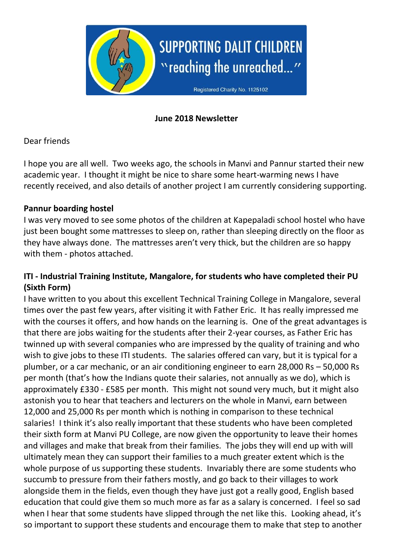

## **June 2018 Newsletter**

## Dear friends

I hope you are all well. Two weeks ago, the schools in Manvi and Pannur started their new academic year. I thought it might be nice to share some heart-warming news I have recently received, and also details of another project I am currently considering supporting.

## **Pannur boarding hostel**

I was very moved to see some photos of the children at Kapepaladi school hostel who have just been bought some mattresses to sleep on, rather than sleeping directly on the floor as they have always done. The mattresses aren't very thick, but the children are so happy with them - photos attached.

## **ITI - Industrial Training Institute, Mangalore, for students who have completed their PU (Sixth Form)**

I have written to you about this excellent Technical Training College in Mangalore, several times over the past few years, after visiting it with Father Eric. It has really impressed me with the courses it offers, and how hands on the learning is. One of the great advantages is that there are jobs waiting for the students after their 2-year courses, as Father Eric has twinned up with several companies who are impressed by the quality of training and who wish to give jobs to these ITI students. The salaries offered can vary, but it is typical for a plumber, or a car mechanic, or an air conditioning engineer to earn 28,000 Rs – 50,000 Rs per month (that's how the Indians quote their salaries, not annually as we do), which is approximately £330 - £585 per month. This might not sound very much, but it might also astonish you to hear that teachers and lecturers on the whole in Manvi, earn between 12,000 and 25,000 Rs per month which is nothing in comparison to these technical salaries! I think it's also really important that these students who have been completed their sixth form at Manvi PU College, are now given the opportunity to leave their homes and villages and make that break from their families. The jobs they will end up with will ultimately mean they can support their families to a much greater extent which is the whole purpose of us supporting these students. Invariably there are some students who succumb to pressure from their fathers mostly, and go back to their villages to work alongside them in the fields, even though they have just got a really good, English based education that could give them so much more as far as a salary is concerned. I feel so sad when I hear that some students have slipped through the net like this. Looking ahead, it's so important to support these students and encourage them to make that step to another